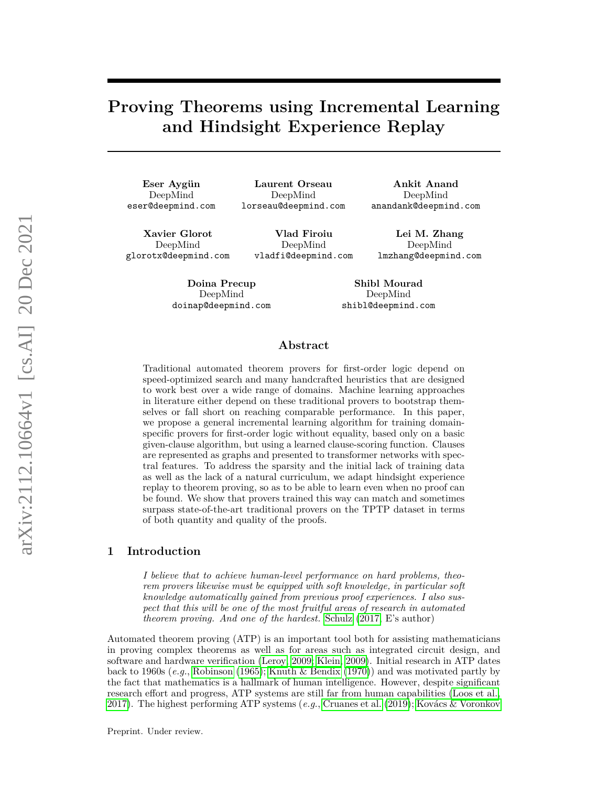# **Proving Theorems using Incremental Learning and Hindsight Experience Replay**

Eser Aygün DeepMind eser@deepmind.com

**Laurent Orseau** DeepMind lorseau@deepmind.com

**Ankit Anand** DeepMind anandank@deepmind.com

**Lei M. Zhang**

**Xavier Glorot** DeepMind glorotx@deepmind.com

**Vlad Firoiu** DeepMind vladfi@deepmind.com

DeepMind lmzhang@deepmind.com

**Doina Precup** DeepMind doinap@deepmind.com

**Shibl Mourad** DeepMind shibl@deepmind.com

### **Abstract**

Traditional automated theorem provers for first-order logic depend on speed-optimized search and many handcrafted heuristics that are designed to work best over a wide range of domains. Machine learning approaches in literature either depend on these traditional provers to bootstrap themselves or fall short on reaching comparable performance. In this paper, we propose a general incremental learning algorithm for training domainspecific provers for first-order logic without equality, based only on a basic given-clause algorithm, but using a learned clause-scoring function. Clauses are represented as graphs and presented to transformer networks with spectral features. To address the sparsity and the initial lack of training data as well as the lack of a natural curriculum, we adapt hindsight experience replay to theorem proving, so as to be able to learn even when no proof can be found. We show that provers trained this way can match and sometimes surpass state-of-the-art traditional provers on the TPTP dataset in terms of both quantity and quality of the proofs.

### **1 Introduction**

*I believe that to achieve human-level performance on hard problems, theorem provers likewise must be equipped with soft knowledge, in particular soft knowledge automatically gained from previous proof experiences. I also suspect that this will be one of the most fruitful areas of research in automated theorem proving. And one of the hardest.* [Schulz](#page-12-0) [\(2017,](#page-12-0) E's author)

Automated theorem proving (ATP) is an important tool both for assisting mathematicians in proving complex theorems as well as for areas such as integrated circuit design, and software and hardware verification [\(Leroy, 2009;](#page-12-1) [Klein, 2009\)](#page-12-2). Initial research in ATP dates back to 1960s (*e.g.*, [Robinson](#page-12-3) [\(1965\)](#page-12-3); [Knuth & Bendix](#page-12-4) [\(1970\)](#page-12-4)) and was motivated partly by the fact that mathematics is a hallmark of human intelligence. However, despite significant research effort and progress, ATP systems are still far from human capabilities [\(Loos et al.,](#page-12-5) [2017\)](#page-12-5). The highest performing ATP systems (*e.g.*, [Cruanes et al.](#page-11-0) [\(2019\)](#page-11-0); Kovács & Voronkov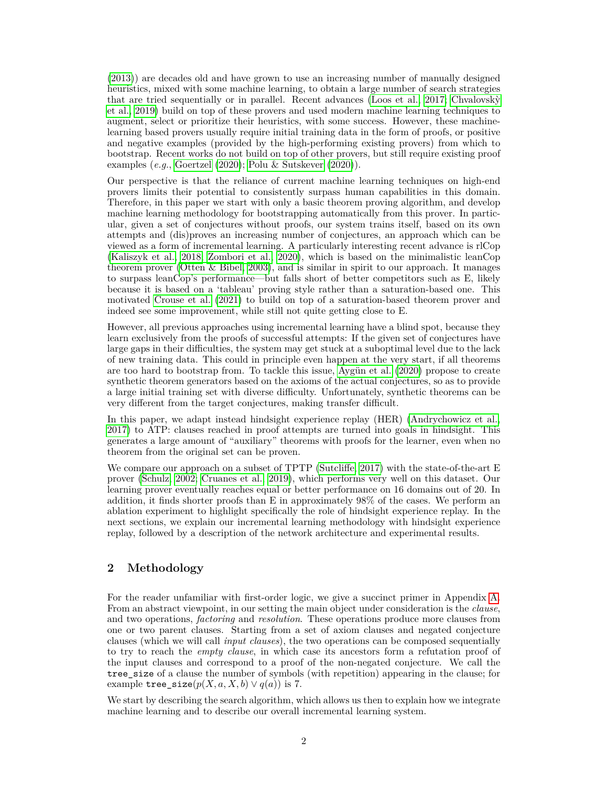[\(2013\)](#page-12-6)) are decades old and have grown to use an increasing number of manually designed heuristics, mixed with some machine learning, to obtain a large number of search strategies that are tried sequentially or in parallel. Recent advances [\(Loos et al., 2017;](#page-12-5) Chvalovsky [et al., 2019\)](#page-11-1) build on top of these provers and used modern machine learning techniques to augment, select or prioritize their heuristics, with some success. However, these machinelearning based provers usually require initial training data in the form of proofs, or positive and negative examples (provided by the high-performing existing provers) from which to bootstrap. Recent works do not build on top of other provers, but still require existing proof examples (*e.g.*, [Goertzel](#page-11-2) [\(2020\)](#page-11-2); [Polu & Sutskever](#page-12-7) [\(2020\)](#page-12-7)).

Our perspective is that the reliance of current machine learning techniques on high-end provers limits their potential to consistently surpass human capabilities in this domain. Therefore, in this paper we start with only a basic theorem proving algorithm, and develop machine learning methodology for bootstrapping automatically from this prover. In particular, given a set of conjectures without proofs, our system trains itself, based on its own attempts and (dis)proves an increasing number of conjectures, an approach which can be viewed as a form of incremental learning. A particularly interesting recent advance is rlCop [\(Kaliszyk et al., 2018;](#page-11-3) [Zombori et al., 2020\)](#page-12-8), which is based on the minimalistic leanCop theorem prover [\(Otten & Bibel, 2003\)](#page-12-9), and is similar in spirit to our approach. It manages to surpass leanCop's performance—but falls short of better competitors such as E, likely because it is based on a 'tableau' proving style rather than a saturation-based one. This motivated [Crouse et al.](#page-11-4) [\(2021\)](#page-11-4) to build on top of a saturation-based theorem prover and indeed see some improvement, while still not quite getting close to E.

However, all previous approaches using incremental learning have a blind spot, because they learn exclusively from the proofs of successful attempts: If the given set of conjectures have large gaps in their difficulties, the system may get stuck at a suboptimal level due to the lack of new training data. This could in principle even happen at the very start, if all theorems are too hard to bootstrap from. To tackle this issue, Aygün et al. [\(2020\)](#page-11-5) propose to create synthetic theorem generators based on the axioms of the actual conjectures, so as to provide a large initial training set with diverse difficulty. Unfortunately, synthetic theorems can be very different from the target conjectures, making transfer difficult.

In this paper, we adapt instead hindsight experience replay (HER) [\(Andrychowicz et al.,](#page-11-6) [2017\)](#page-11-6) to ATP: clauses reached in proof attempts are turned into goals in hindsight. This generates a large amount of "auxiliary" theorems with proofs for the learner, even when no theorem from the original set can be proven.

We compare our approach on a subset of TPTP [\(Sutcliffe, 2017\)](#page-12-10) with the state-of-the-art E prover [\(Schulz, 2002;](#page-12-11) [Cruanes et al., 2019\)](#page-11-0), which performs very well on this dataset. Our learning prover eventually reaches equal or better performance on 16 domains out of 20. In addition, it finds shorter proofs than E in approximately 98% of the cases. We perform an ablation experiment to highlight specifically the role of hindsight experience replay. In the next sections, we explain our incremental learning methodology with hindsight experience replay, followed by a description of the network architecture and experimental results.

# **2 Methodology**

For the reader unfamiliar with first-order logic, we give a succinct primer in Appendix [A.](#page-12-12) From an abstract viewpoint, in our setting the main object under consideration is the *clause*, and two operations, *factoring* and *resolution*. These operations produce more clauses from one or two parent clauses. Starting from a set of axiom clauses and negated conjecture clauses (which we will call *input clauses*), the two operations can be composed sequentially to try to reach the *empty clause*, in which case its ancestors form a refutation proof of the input clauses and correspond to a proof of the non-negated conjecture. We call the tree size of a clause the number of symbols (with repetition) appearing in the clause; for example tree\_size( $p(X, a, X, b) \vee q(a)$ ) is 7.

We start by describing the search algorithm, which allows us then to explain how we integrate machine learning and to describe our overall incremental learning system.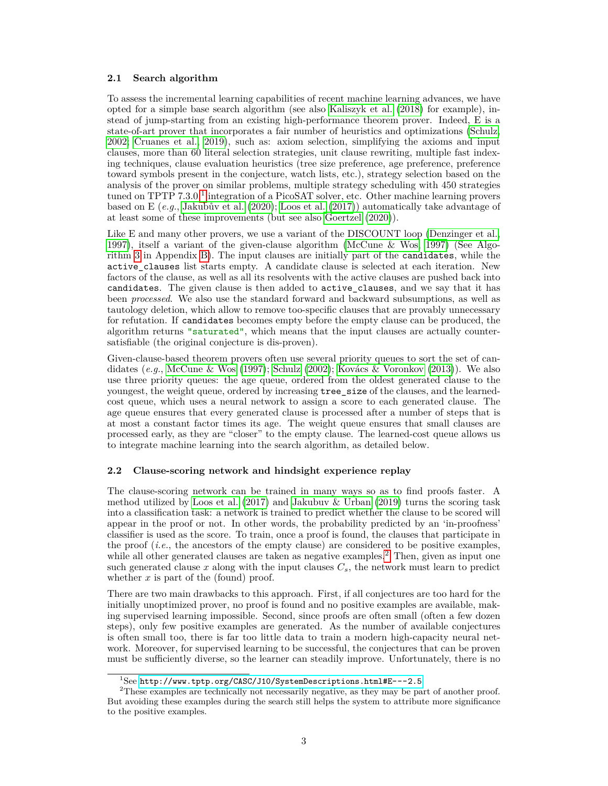#### **2.1 Search algorithm**

To assess the incremental learning capabilities of recent machine learning advances, we have opted for a simple base search algorithm (see also [Kaliszyk et al.](#page-11-3) [\(2018\)](#page-11-3) for example), instead of jump-starting from an existing high-performance theorem prover. Indeed, E is a state-of-art prover that incorporates a fair number of heuristics and optimizations [\(Schulz,](#page-12-11) [2002;](#page-12-11) [Cruanes et al., 2019\)](#page-11-0), such as: axiom selection, simplifying the axioms and input clauses, more than 60 literal selection strategies, unit clause rewriting, multiple fast indexing techniques, clause evaluation heuristics (tree size preference, age preference, preference toward symbols present in the conjecture, watch lists, etc.), strategy selection based on the analysis of the prover on similar problems, multiple strategy scheduling with 450 strategies tuned on TPTP 7.3.0,<sup>[1](#page-2-0)</sup> integration of a PicoSAT solver, etc. Other machine learning provers based on E  $(e,q)$ , Jakubův et al.  $(2020)$ ; [Loos et al.](#page-12-5)  $(2017)$ ) automatically take advantage of at least some of these improvements (but see also [Goertzel](#page-11-2) [\(2020\)](#page-11-2)).

Like E and many other provers, we use a variant of the DISCOUNT loop [\(Denzinger et al.,](#page-11-8) [1997\)](#page-11-8), itself a variant of the given-clause algorithm [\(McCune & Wos, 1997\)](#page-12-13) (See Algorithm [3](#page-14-0) in Appendix [B\)](#page-14-1). The input clauses are initially part of the candidates, while the active\_clauses list starts empty. A candidate clause is selected at each iteration. New factors of the clause, as well as all its resolvents with the active clauses are pushed back into candidates. The given clause is then added to active\_clauses, and we say that it has been *processed*. We also use the standard forward and backward subsumptions, as well as tautology deletion, which allow to remove too-specific clauses that are provably unnecessary for refutation. If candidates becomes empty before the empty clause can be produced, the algorithm returns "saturated", which means that the input clauses are actually countersatisfiable (the original conjecture is dis-proven).

Given-clause-based theorem provers often use several priority queues to sort the set of candidates  $(e.g., \text{ McCune } \& \text{ Wos } (1997); \text{ Schulz } (2002); \text{ Kovács } \& \text{ Voronkov } (2013)).$  $(e.g., \text{ McCune } \& \text{ Wos } (1997); \text{ Schulz } (2002); \text{ Kovács } \& \text{ Voronkov } (2013)).$  $(e.g., \text{ McCune } \& \text{ Wos } (1997); \text{ Schulz } (2002); \text{ Kovács } \& \text{ Voronkov } (2013)).$  $(e.g., \text{ McCune } \& \text{ Wos } (1997); \text{ Schulz } (2002); \text{ Kovács } \& \text{ Voronkov } (2013)).$  $(e.g., \text{ McCune } \& \text{ Wos } (1997); \text{ Schulz } (2002); \text{ Kovács } \& \text{ Voronkov } (2013)).$  $(e.g., \text{ McCune } \& \text{ Wos } (1997); \text{ Schulz } (2002); \text{ Kovács } \& \text{ Voronkov } (2013)).$  $(e.g., \text{ McCune } \& \text{ Wos } (1997); \text{ Schulz } (2002); \text{ Kovács } \& \text{ Voronkov } (2013)).$  $(e.g., \text{ McCune } \& \text{ Wos } (1997); \text{ Schulz } (2002); \text{ Kovács } \& \text{ Voronkov } (2013)).$  $(e.g., \text{ McCune } \& \text{ Wos } (1997); \text{ Schulz } (2002); \text{ Kovács } \& \text{ Voronkov } (2013)).$  We also use three priority queues: the age queue, ordered from the oldest generated clause to the youngest, the weight queue, ordered by increasing tree\_size of the clauses, and the learnedcost queue, which uses a neural network to assign a score to each generated clause. The age queue ensures that every generated clause is processed after a number of steps that is at most a constant factor times its age. The weight queue ensures that small clauses are processed early, as they are "closer" to the empty clause. The learned-cost queue allows us to integrate machine learning into the search algorithm, as detailed below.

#### **2.2 Clause-scoring network and hindsight experience replay**

The clause-scoring network can be trained in many ways so as to find proofs faster. A method utilized by [Loos et al.](#page-12-5)  $(2017)$  and [Jakubuv & Urban](#page-11-9)  $(2019)$  turns the scoring task into a classification task: a network is trained to predict whether the clause to be scored will appear in the proof or not. In other words, the probability predicted by an 'in-proofness' classifier is used as the score. To train, once a proof is found, the clauses that participate in the proof (*i.e.*, the ancestors of the empty clause) are considered to be positive examples, while all other generated clauses are taken as negative examples.<sup>[2](#page-2-1)</sup> Then, given as input one such generated clause  $x$  along with the input clauses  $C_s$ , the network must learn to predict whether *x* is part of the (found) proof.

There are two main drawbacks to this approach. First, if all conjectures are too hard for the initially unoptimized prover, no proof is found and no positive examples are available, making supervised learning impossible. Second, since proofs are often small (often a few dozen steps), only few positive examples are generated. As the number of available conjectures is often small too, there is far too little data to train a modern high-capacity neural network. Moreover, for supervised learning to be successful, the conjectures that can be proven must be sufficiently diverse, so the learner can steadily improve. Unfortunately, there is no

<span id="page-2-1"></span><span id="page-2-0"></span> $1$ See <http://www.tptp.org/CASC/J10/SystemDescriptions.html#E---2.5>.

<sup>&</sup>lt;sup>2</sup>These examples are technically not necessarily negative, as they may be part of another proof. But avoiding these examples during the search still helps the system to attribute more significance to the positive examples.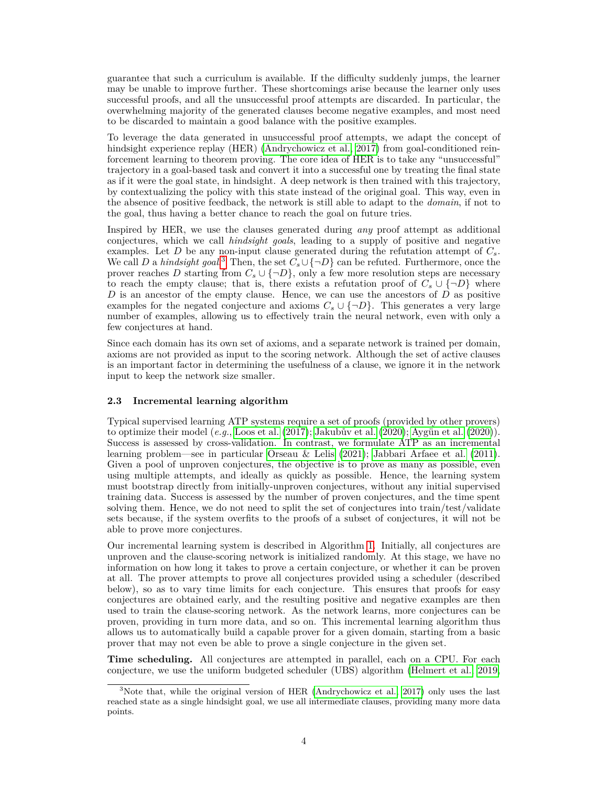guarantee that such a curriculum is available. If the difficulty suddenly jumps, the learner may be unable to improve further. These shortcomings arise because the learner only uses successful proofs, and all the unsuccessful proof attempts are discarded. In particular, the overwhelming majority of the generated clauses become negative examples, and most need to be discarded to maintain a good balance with the positive examples.

To leverage the data generated in unsuccessful proof attempts, we adapt the concept of hindsight experience replay (HER) [\(Andrychowicz et al., 2017\)](#page-11-6) from goal-conditioned reinforcement learning to theorem proving. The core idea of HER is to take any "unsuccessful" trajectory in a goal-based task and convert it into a successful one by treating the final state as if it were the goal state, in hindsight. A deep network is then trained with this trajectory, by contextualizing the policy with this state instead of the original goal. This way, even in the absence of positive feedback, the network is still able to adapt to the *domain*, if not to the goal, thus having a better chance to reach the goal on future tries.

Inspired by HER, we use the clauses generated during *any* proof attempt as additional conjectures, which we call *hindsight goals*, leading to a supply of positive and negative examples. Let *D* be any non-input clause generated during the refutation attempt of  $C_s$ . We call *D* a *hindsight goal*.<sup>[3](#page-3-0)</sup> Then, the set  $C_s \cup \{\neg D\}$  can be refuted. Furthermore, once the prover reaches *D* starting from  $C_s \cup \{\neg D\}$ , only a few more resolution steps are necessary to reach the empty clause; that is, there exists a refutation proof of  $C_s \cup \{\neg D\}$  where *D* is an ancestor of the empty clause. Hence, we can use the ancestors of *D* as positive examples for the negated conjecture and axioms  $C_s \cup \{\neg D\}$ . This generates a very large number of examples, allowing us to effectively train the neural network, even with only a few conjectures at hand.

Since each domain has its own set of axioms, and a separate network is trained per domain, axioms are not provided as input to the scoring network. Although the set of active clauses is an important factor in determining the usefulness of a clause, we ignore it in the network input to keep the network size smaller.

#### **2.3 Incremental learning algorithm**

Typical supervised learning ATP systems require a set of proofs (provided by other provers) to optimize their model  $(e.q., \text{Loos et al. } (2017); \text{ Jakubův et al. } (2020); \text{Avgün et al. } (2020)).$  $(e.q., \text{Loos et al. } (2017); \text{ Jakubův et al. } (2020); \text{Avgün et al. } (2020)).$  $(e.q., \text{Loos et al. } (2017); \text{ Jakubův et al. } (2020); \text{Avgün et al. } (2020)).$  $(e.q., \text{Loos et al. } (2017); \text{ Jakubův et al. } (2020); \text{Avgün et al. } (2020)).$  $(e.q., \text{Loos et al. } (2017); \text{ Jakubův et al. } (2020); \text{Avgün et al. } (2020)).$ Success is assessed by cross-validation. In contrast, we formulate ATP as an incremental learning problem—see in particular [Orseau & Lelis](#page-12-14) [\(2021\)](#page-12-14); [Jabbari Arfaee et al.](#page-11-10) [\(2011\)](#page-11-10). Given a pool of unproven conjectures, the objective is to prove as many as possible, even using multiple attempts, and ideally as quickly as possible. Hence, the learning system must bootstrap directly from initially-unproven conjectures, without any initial supervised training data. Success is assessed by the number of proven conjectures, and the time spent solving them. Hence, we do not need to split the set of conjectures into train/test/validate sets because, if the system overfits to the proofs of a subset of conjectures, it will not be able to prove more conjectures.

Our incremental learning system is described in Algorithm [1.](#page-4-0) Initially, all conjectures are unproven and the clause-scoring network is initialized randomly. At this stage, we have no information on how long it takes to prove a certain conjecture, or whether it can be proven at all. The prover attempts to prove all conjectures provided using a scheduler (described below), so as to vary time limits for each conjecture. This ensures that proofs for easy conjectures are obtained early, and the resulting positive and negative examples are then used to train the clause-scoring network. As the network learns, more conjectures can be proven, providing in turn more data, and so on. This incremental learning algorithm thus allows us to automatically build a capable prover for a given domain, starting from a basic prover that may not even be able to prove a single conjecture in the given set.

**Time scheduling.** All conjectures are attempted in parallel, each on a CPU. For each conjecture, we use the uniform budgeted scheduler (UBS) algorithm [\(Helmert et al., 2019,](#page-11-11)

<span id="page-3-0"></span><sup>&</sup>lt;sup>3</sup>Note that, while the original version of HER [\(Andrychowicz et al., 2017\)](#page-11-6) only uses the last reached state as a single hindsight goal, we use all intermediate clauses, providing many more data points.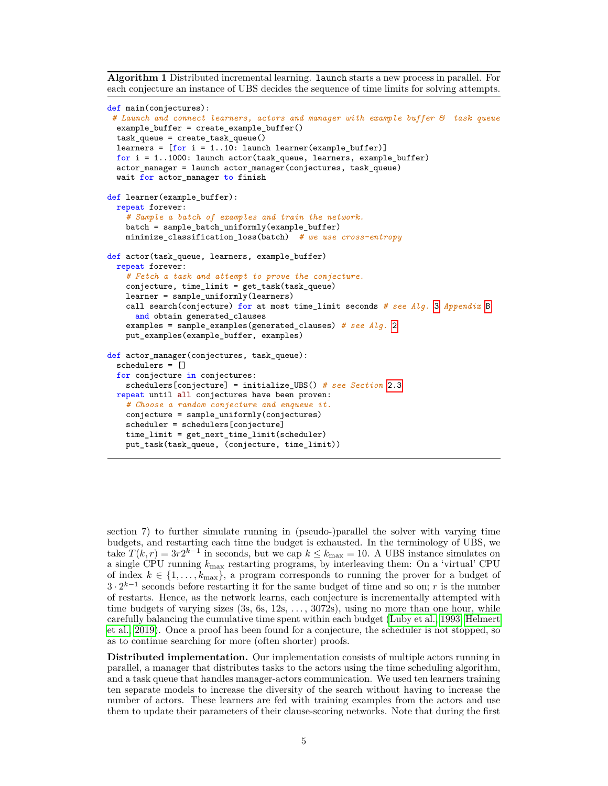<span id="page-4-0"></span>**Algorithm 1** Distributed incremental learning. launch starts a new process in parallel. For each conjecture an instance of UBS decides the sequence of time limits for solving attempts.

```
def main(conjectures):
 # Launch and connect learners, actors and manager with example buffer & task queue
 example_buffer = create_example_buffer()
 task_queue = create_task_queue()
 learners = [for i = 1..10: launch learner(example_buffer)]for i = 1..1000: launch actor(task_queue, learners, example_buffer)
  actor_manager = launch actor_manager(conjectures, task_queue)
 wait for actor_manager to finish
def learner(example_buffer):
 repeat forever:
    # Sample a batch of examples and train the network.
    batch = sample_batch_uniformly(example_buffer)
    minimize_classification_loss(batch) # we use cross-entropy
def actor(task_queue, learners, example_buffer)
 repeat forever:
    # Fetch a task and attempt to prove the conjecture.
    conjecture, time_limit = get_task(task_queue)
    learner = sample_uniformly(learners)
    call search(conjecture) for at most time_limit seconds # see Alg. 3 Appendix B
     and obtain generated_clauses
    examples = sample_examples(generated_clauses) # see Alg. 2
    put_examples(example_buffer, examples)
def actor_manager(conjectures, task_queue):
 schedulers = []
  for conjecture in conjectures:
    schedulers[conjecture] = initialize_UBS() # see Section 2.3
 repeat until all conjectures have been proven:
    # Choose a random conjecture and enqueue it.
    conjecture = sample_uniformly(conjectures)
    scheduler = schedulers[conjecture]
    time_limit = get_next_time_limit(scheduler)
    put_task(task_queue, (conjecture, time_limit))
```
section 7) to further simulate running in (pseudo-)parallel the solver with varying time budgets, and restarting each time the budget is exhausted. In the terminology of UBS, we take  $T(k,r) = 3r2^{k-1}$  in seconds, but we cap  $k \leq k_{\text{max}} = 10$ . A UBS instance simulates on a single CPU running *k*max restarting programs, by interleaving them: On a 'virtual' CPU of index  $k \in \{1, \ldots, k_{\text{max}}\},$  a program corresponds to running the prover for a budget of 3 · 2 *k*−1 seconds before restarting it for the same budget of time and so on; *r* is the number of restarts. Hence, as the network learns, each conjecture is incrementally attempted with time budgets of varying sizes (3s, 6s, 12s, *. . .* , 3072s), using no more than one hour, while carefully balancing the cumulative time spent within each budget [\(Luby et al., 1993;](#page-12-15) [Helmert](#page-11-11) [et al., 2019\)](#page-11-11). Once a proof has been found for a conjecture, the scheduler is not stopped, so as to continue searching for more (often shorter) proofs.

**Distributed implementation.** Our implementation consists of multiple actors running in parallel, a manager that distributes tasks to the actors using the time scheduling algorithm, and a task queue that handles manager-actors communication. We used ten learners training ten separate models to increase the diversity of the search without having to increase the number of actors. These learners are fed with training examples from the actors and use them to update their parameters of their clause-scoring networks. Note that during the first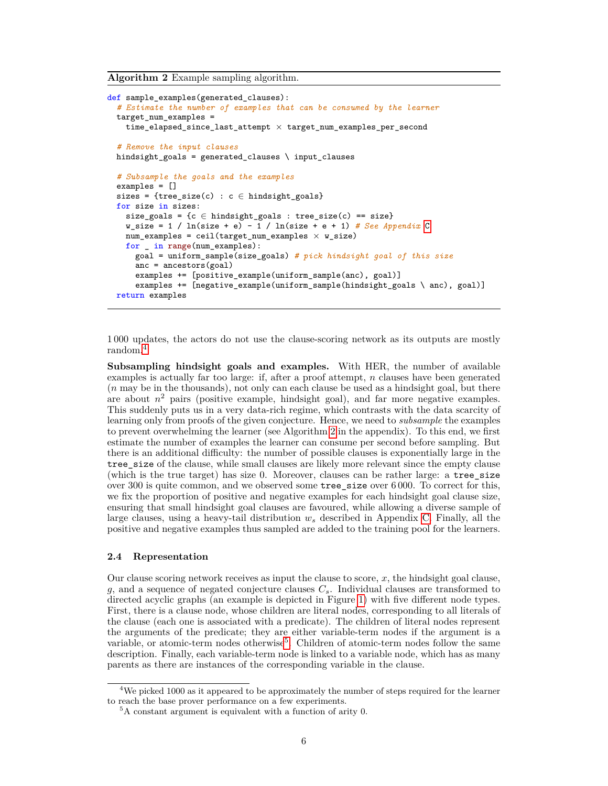<span id="page-5-0"></span>**Algorithm 2** Example sampling algorithm.

```
def sample_examples(generated_clauses):
  # Estimate the number of examples that can be consumed by the learner
 target_num_examples =
   time_elapsed_since_last_attempt × target_num_examples_per_second
  # Remove the input clauses
 hindsight_goals = generated_clauses \ input_clauses
  # Subsample the goals and the examples
 examples = []
 sizes = {tree_size(c) : c \in hindsight_goals}
 for size in sizes:
   size_goals = {c \in hindsight_goals : tree_size(c) == size}
   w_size = 1 / ln(size + e) - 1 / ln(size + e + 1) # See Appendix C
   num\_examples = ceil(target\_num\_examples \times w\_size)for _ in range(num_examples):
     goal = uniform_sample(size_goals) # pick hindsight goal of this size
     anc = ancestors(goal)
     examples += [positive_example(uniform_sample(anc), goal)]
      examples += [negative] example(uniform_sample(hindsight_goals \ anc), goal)]
 return examples
```
1 000 updates, the actors do not use the clause-scoring network as its outputs are mostly random.[4](#page-5-1)

**Subsampling hindsight goals and examples.** With HER, the number of available examples is actually far too large: if, after a proof attempt, *n* clauses have been generated (*n* may be in the thousands), not only can each clause be used as a hindsight goal, but there are about  $n^2$  pairs (positive example, hindsight goal), and far more negative examples. This suddenly puts us in a very data-rich regime, which contrasts with the data scarcity of learning only from proofs of the given conjecture. Hence, we need to *subsample* the examples to prevent overwhelming the learner (see Algorithm [2](#page-5-0) in the appendix). To this end, we first estimate the number of examples the learner can consume per second before sampling. But there is an additional difficulty: the number of possible clauses is exponentially large in the tree\_size of the clause, while small clauses are likely more relevant since the empty clause (which is the true target) has size 0. Moreover, clauses can be rather large: a tree\_size over 300 is quite common, and we observed some tree\_size over 6 000. To correct for this, we fix the proportion of positive and negative examples for each hindsight goal clause size, ensuring that small hindsight goal clauses are favoured, while allowing a diverse sample of large clauses, using a heavy-tail distribution  $w_s$  described in Appendix [C.](#page-14-2) Finally, all the positive and negative examples thus sampled are added to the training pool for the learners.

#### **2.4 Representation**

Our clause scoring network receives as input the clause to score, *x*, the hindsight goal clause, *g*, and a sequence of negated conjecture clauses *Cs*. Individual clauses are transformed to directed acyclic graphs (an example is depicted in Figure [1\)](#page-6-0) with five different node types. First, there is a clause node, whose children are literal nodes, corresponding to all literals of the clause (each one is associated with a predicate). The children of literal nodes represent the arguments of the predicate; they are either variable-term nodes if the argument is a variable, or atomic-term nodes otherwise<sup>[5](#page-5-2)</sup>. Children of atomic-term nodes follow the same description. Finally, each variable-term node is linked to a variable node, which has as many parents as there are instances of the corresponding variable in the clause.

<span id="page-5-1"></span> $4$ We picked 1000 as it appeared to be approximately the number of steps required for the learner to reach the base prover performance on a few experiments.

<span id="page-5-2"></span> $^5\mathrm{A}$  constant argument is equivalent with a function of arity 0.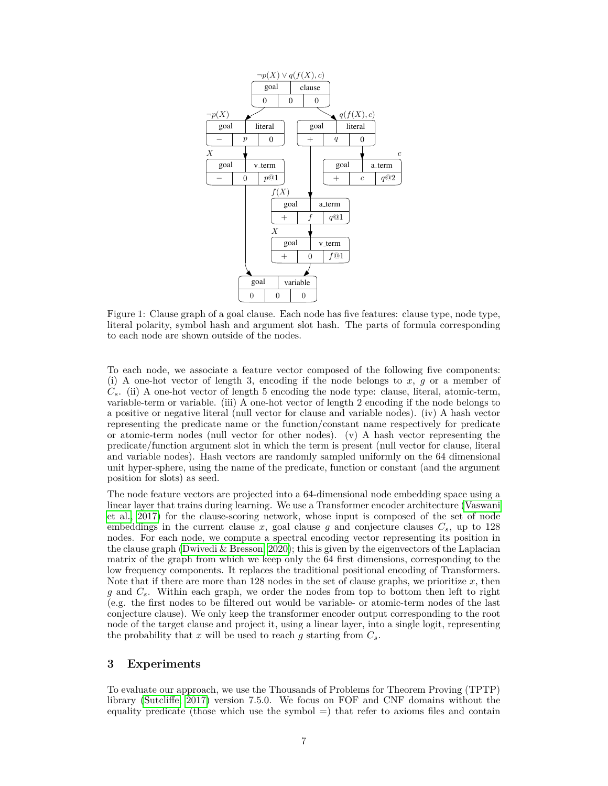<span id="page-6-0"></span>

Figure 1: Clause graph of a goal clause. Each node has five features: clause type, node type, literal polarity, symbol hash and argument slot hash. The parts of formula corresponding to each node are shown outside of the nodes.

To each node, we associate a feature vector composed of the following five components: (i) A one-hot vector of length 3, encoding if the node belongs to *x*, *g* or a member of  $C_s$ . (ii) A one-hot vector of length 5 encoding the node type: clause, literal, atomic-term, variable-term or variable. (iii) A one-hot vector of length 2 encoding if the node belongs to a positive or negative literal (null vector for clause and variable nodes). (iv) A hash vector representing the predicate name or the function/constant name respectively for predicate or atomic-term nodes (null vector for other nodes). (v) A hash vector representing the predicate/function argument slot in which the term is present (null vector for clause, literal and variable nodes). Hash vectors are randomly sampled uniformly on the 64 dimensional unit hyper-sphere, using the name of the predicate, function or constant (and the argument position for slots) as seed.

The node feature vectors are projected into a 64-dimensional node embedding space using a linear layer that trains during learning. We use a Transformer encoder architecture [\(Vaswani](#page-12-16) [et al., 2017\)](#page-12-16) for the clause-scoring network, whose input is composed of the set of node embeddings in the current clause  $x$ , goal clause  $g$  and conjecture clauses  $C_s$ , up to 128 nodes. For each node, we compute a spectral encoding vector representing its position in the clause graph [\(Dwivedi & Bresson, 2020\)](#page-11-12); this is given by the eigenvectors of the Laplacian matrix of the graph from which we keep only the 64 first dimensions, corresponding to the low frequency components. It replaces the traditional positional encoding of Transformers. Note that if there are more than 128 nodes in the set of clause graphs, we prioritize *x*, then *g* and *Cs*. Within each graph, we order the nodes from top to bottom then left to right (e.g. the first nodes to be filtered out would be variable- or atomic-term nodes of the last conjecture clause). We only keep the transformer encoder output corresponding to the root node of the target clause and project it, using a linear layer, into a single logit, representing the probability that  $x$  will be used to reach  $g$  starting from  $C_s$ .

### <span id="page-6-1"></span>**3 Experiments**

To evaluate our approach, we use the Thousands of Problems for Theorem Proving (TPTP) library [\(Sutcliffe, 2017\)](#page-12-10) version 7.5.0. We focus on FOF and CNF domains without the equality predicate (those which use the symbol =) that refer to axioms files and contain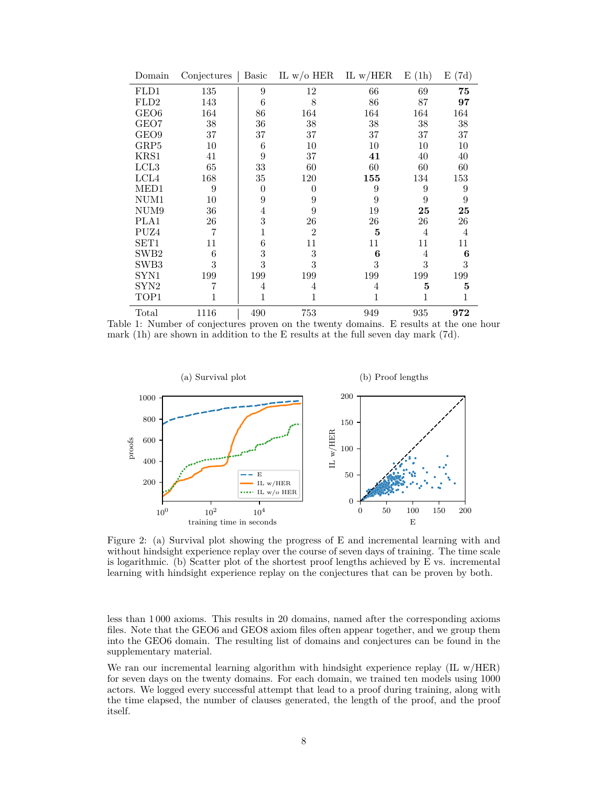<span id="page-7-0"></span>

| Domain           | Conjectures | Basic    | IL w/o HER     | IL $w/HER$ | E(1h)          | E(7d)          |
|------------------|-------------|----------|----------------|------------|----------------|----------------|
| FLD1             | 135         | 9        | 12             | 66         | 69             | 75             |
| FLD2             | 143         | 6        | 8              | 86         | 87             | 97             |
| GEO <sub>6</sub> | 164         | 86       | 164            | 164        | 164            | 164            |
| GEO7             | 38          | 36       | 38             | 38         | 38             | 38             |
| GEO <sub>9</sub> | 37          | 37       | 37             | 37         | 37             | 37             |
| GRP5             | 10          | 6        | 10             | 10         | 10             | 10             |
| KRS1             | 41          | 9        | 37             | 41         | 40             | 40             |
| LCL <sub>3</sub> | 65          | 33       | 60             | 60         | 60             | 60             |
| LCL4             | 168         | 35       | 120            | 155        | 134            | 153            |
| MED1             | 9           | $\Omega$ | 0              | 9          | 9              | 9              |
| NUM1             | 10          | 9        | 9              | 9          | 9              | 9              |
| NUM <sub>9</sub> | 36          | 4        | 9              | 19         | 25             | 25             |
| PLA1             | 26          | 3        | 26             | 26         | 26             | 26             |
| PUZ4             | 7           |          | $\overline{2}$ | 5          | $\overline{4}$ | $\overline{4}$ |
| SET <sub>1</sub> | 11          | 6        | 11             | 11         | 11             | 11             |
| SWB <sub>2</sub> | 6           | 3        | 3              | 6          | 4              | 6              |
| SWB3             | 3           | 3        | 3              | 3          | 3              | 3              |
| SYN1             | 199         | 199      | 199            | 199        | 199            | 199            |
| SYN2             | 7           | 4        | 4              | 4          | 5              | 5              |
| TOP1             | 1           | 1        | 1              | 1          | 1              | 1              |
| Total            | 1116        | 490      | 753            | 949        | 935            | 972            |

Table 1: Number of conjectures proven on the twenty domains. E results at the one hour mark (1h) are shown in addition to the E results at the full seven day mark (7d).

<span id="page-7-1"></span>

Figure 2: (a) Survival plot showing the progress of E and incremental learning with and without hindsight experience replay over the course of seven days of training. The time scale is logarithmic. (b) Scatter plot of the shortest proof lengths achieved by E vs. incremental learning with hindsight experience replay on the conjectures that can be proven by both.

less than 1 000 axioms. This results in 20 domains, named after the corresponding axioms files. Note that the GEO6 and GEO8 axiom files often appear together, and we group them into the GEO6 domain. The resulting list of domains and conjectures can be found in the supplementary material.

We ran our incremental learning algorithm with hindsight experience replay (IL w/HER) for seven days on the twenty domains. For each domain, we trained ten models using 1000 actors. We logged every successful attempt that lead to a proof during training, along with the time elapsed, the number of clauses generated, the length of the proof, and the proof itself.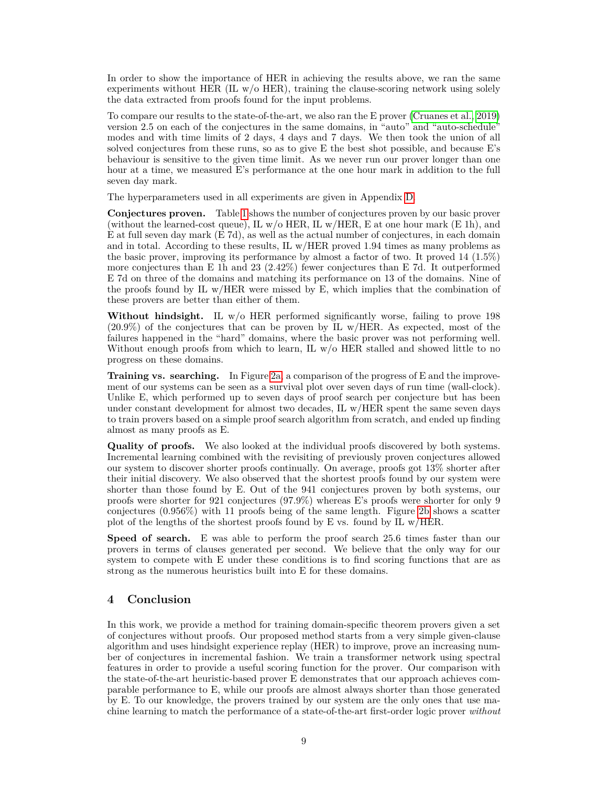In order to show the importance of HER in achieving the results above, we ran the same experiments without HER  $(IL w / o HER)$ , training the clause-scoring network using solely the data extracted from proofs found for the input problems.

To compare our results to the state-of-the-art, we also ran the E prover [\(Cruanes et al., 2019\)](#page-11-0) version 2.5 on each of the conjectures in the same domains, in "auto" and "auto-schedule" modes and with time limits of 2 days, 4 days and 7 days. We then took the union of all solved conjectures from these runs, so as to give E the best shot possible, and because E's behaviour is sensitive to the given time limit. As we never run our prover longer than one hour at a time, we measured E's performance at the one hour mark in addition to the full seven day mark.

The hyperparameters used in all experiments are given in Appendix [D.](#page-14-3)

**Conjectures proven.** Table [1](#page-7-0) shows the number of conjectures proven by our basic prover (without the learned-cost queue), IL  $w/$  HER, IL  $w/$  HER, E at one hour mark (E 1h), and E at full seven day mark (E 7d), as well as the actual number of conjectures, in each domain and in total. According to these results, IL w/HER proved 1.94 times as many problems as the basic prover, improving its performance by almost a factor of two. It proved 14 (1.5%) more conjectures than E 1h and 23 (2.42%) fewer conjectures than E 7d. It outperformed E 7d on three of the domains and matching its performance on 13 of the domains. Nine of the proofs found by IL w/HER were missed by E, which implies that the combination of these provers are better than either of them.

**Without hindsight.** IL w/o HER performed significantly worse, failing to prove 198 (20.9%) of the conjectures that can be proven by IL w/HER. As expected, most of the failures happened in the "hard" domains, where the basic prover was not performing well. Without enough proofs from which to learn, IL  $w/o$  HER stalled and showed little to no progress on these domains.

**Training vs. searching.** In Figure [2a,](#page-7-1) a comparison of the progress of E and the improvement of our systems can be seen as a survival plot over seven days of run time (wall-clock). Unlike E, which performed up to seven days of proof search per conjecture but has been under constant development for almost two decades, IL w/HER spent the same seven days to train provers based on a simple proof search algorithm from scratch, and ended up finding almost as many proofs as E.

**Quality of proofs.** We also looked at the individual proofs discovered by both systems. Incremental learning combined with the revisiting of previously proven conjectures allowed our system to discover shorter proofs continually. On average, proofs got 13% shorter after their initial discovery. We also observed that the shortest proofs found by our system were shorter than those found by E. Out of the 941 conjectures proven by both systems, our proofs were shorter for 921 conjectures (97.9%) whereas E's proofs were shorter for only 9 conjectures (0.956%) with 11 proofs being of the same length. Figure [2b](#page-7-1) shows a scatter plot of the lengths of the shortest proofs found by E vs. found by IL w/HER.

**Speed of search.** E was able to perform the proof search 25.6 times faster than our provers in terms of clauses generated per second. We believe that the only way for our system to compete with E under these conditions is to find scoring functions that are as strong as the numerous heuristics built into E for these domains.

## **4 Conclusion**

In this work, we provide a method for training domain-specific theorem provers given a set of conjectures without proofs. Our proposed method starts from a very simple given-clause algorithm and uses hindsight experience replay (HER) to improve, prove an increasing number of conjectures in incremental fashion. We train a transformer network using spectral features in order to provide a useful scoring function for the prover. Our comparison with the state-of-the-art heuristic-based prover E demonstrates that our approach achieves comparable performance to E, while our proofs are almost always shorter than those generated by E. To our knowledge, the provers trained by our system are the only ones that use machine learning to match the performance of a state-of-the-art first-order logic prover *without*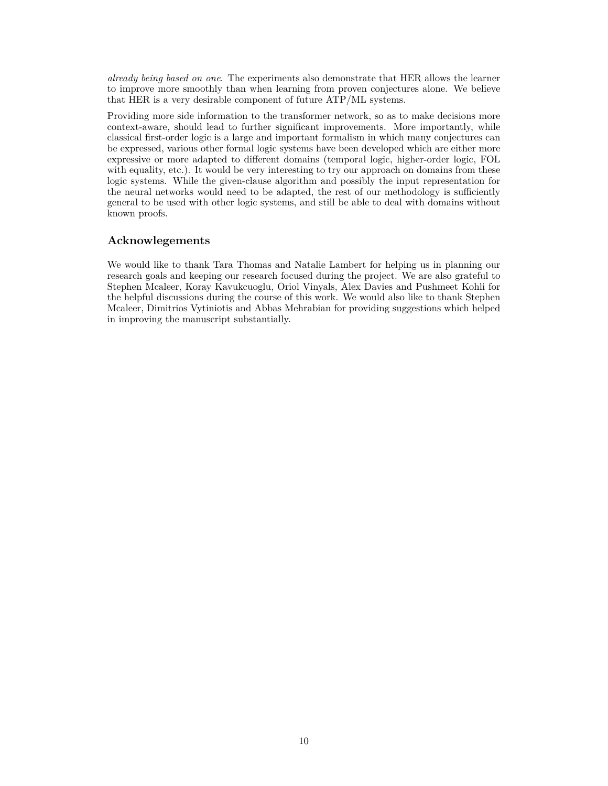*already being based on one*. The experiments also demonstrate that HER allows the learner to improve more smoothly than when learning from proven conjectures alone. We believe that HER is a very desirable component of future ATP/ML systems.

Providing more side information to the transformer network, so as to make decisions more context-aware, should lead to further significant improvements. More importantly, while classical first-order logic is a large and important formalism in which many conjectures can be expressed, various other formal logic systems have been developed which are either more expressive or more adapted to different domains (temporal logic, higher-order logic, FOL with equality, etc.). It would be very interesting to try our approach on domains from these logic systems. While the given-clause algorithm and possibly the input representation for the neural networks would need to be adapted, the rest of our methodology is sufficiently general to be used with other logic systems, and still be able to deal with domains without known proofs.

# **Acknowlegements**

We would like to thank Tara Thomas and Natalie Lambert for helping us in planning our research goals and keeping our research focused during the project. We are also grateful to Stephen Mcaleer, Koray Kavukcuoglu, Oriol Vinyals, Alex Davies and Pushmeet Kohli for the helpful discussions during the course of this work. We would also like to thank Stephen Mcaleer, Dimitrios Vytiniotis and Abbas Mehrabian for providing suggestions which helped in improving the manuscript substantially.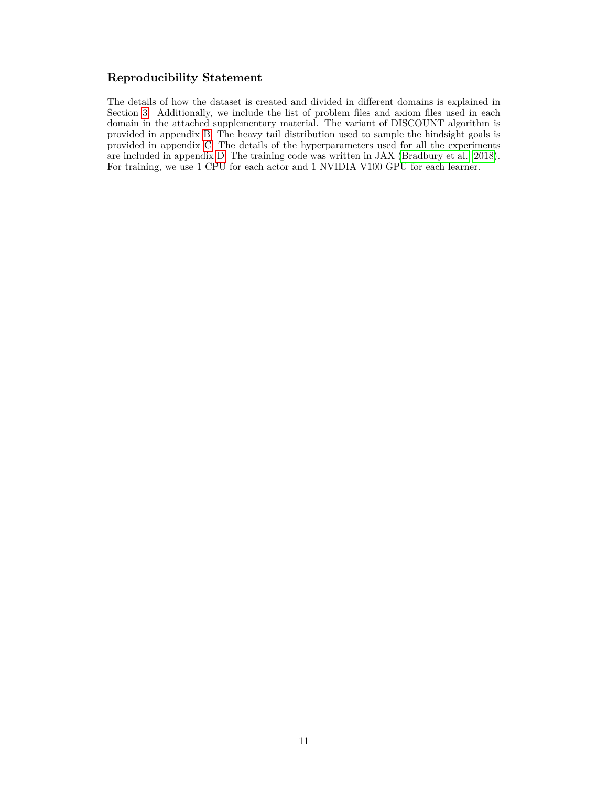# **Reproducibility Statement**

The details of how the dataset is created and divided in different domains is explained in Section [3.](#page-6-1) Additionally, we include the list of problem files and axiom files used in each domain in the attached supplementary material. The variant of DISCOUNT algorithm is provided in appendix [B.](#page-14-1) The heavy tail distribution used to sample the hindsight goals is provided in appendix [C.](#page-14-2) The details of the hyperparameters used for all the experiments are included in appendix [D.](#page-14-3) The training code was written in JAX [\(Bradbury et al., 2018\)](#page-11-13). For training, we use 1 CPU for each actor and 1 NVIDIA V100 GPU for each learner.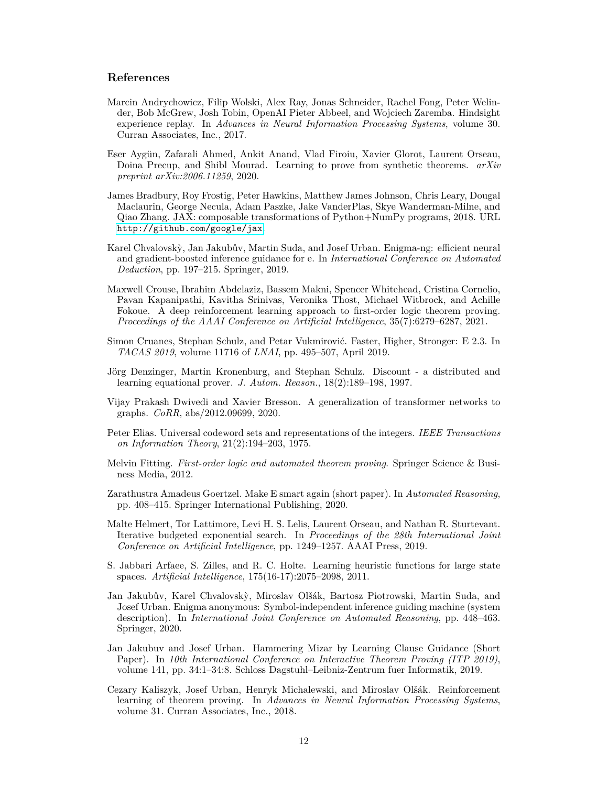## **References**

- <span id="page-11-6"></span>Marcin Andrychowicz, Filip Wolski, Alex Ray, Jonas Schneider, Rachel Fong, Peter Welinder, Bob McGrew, Josh Tobin, OpenAI Pieter Abbeel, and Wojciech Zaremba. Hindsight experience replay. In *Advances in Neural Information Processing Systems*, volume 30. Curran Associates, Inc., 2017.
- <span id="page-11-5"></span>Eser Ayg¨un, Zafarali Ahmed, Ankit Anand, Vlad Firoiu, Xavier Glorot, Laurent Orseau, Doina Precup, and Shibl Mourad. Learning to prove from synthetic theorems. *arXiv preprint arXiv:2006.11259*, 2020.
- <span id="page-11-13"></span>James Bradbury, Roy Frostig, Peter Hawkins, Matthew James Johnson, Chris Leary, Dougal Maclaurin, George Necula, Adam Paszke, Jake VanderPlas, Skye Wanderman-Milne, and Qiao Zhang. JAX: composable transformations of Python+NumPy programs, 2018. URL <http://github.com/google/jax>.
- <span id="page-11-1"></span>Karel Chvalovskỳ, Jan Jakubův, Martin Suda, and Josef Urban. Enigma-ng: efficient neural and gradient-boosted inference guidance for e. In *International Conference on Automated Deduction*, pp. 197–215. Springer, 2019.
- <span id="page-11-4"></span>Maxwell Crouse, Ibrahim Abdelaziz, Bassem Makni, Spencer Whitehead, Cristina Cornelio, Pavan Kapanipathi, Kavitha Srinivas, Veronika Thost, Michael Witbrock, and Achille Fokoue. A deep reinforcement learning approach to first-order logic theorem proving. *Proceedings of the AAAI Conference on Artificial Intelligence*, 35(7):6279–6287, 2021.
- <span id="page-11-0"></span>Simon Cruanes, Stephan Schulz, and Petar Vukmirović. Faster, Higher, Stronger: E 2.3. In *TACAS 2019*, volume 11716 of *LNAI*, pp. 495–507, April 2019.
- <span id="page-11-8"></span>Jörg Denzinger, Martin Kronenburg, and Stephan Schulz. Discount - a distributed and learning equational prover. *J. Autom. Reason.*, 18(2):189–198, 1997.
- <span id="page-11-12"></span>Vijay Prakash Dwivedi and Xavier Bresson. A generalization of transformer networks to graphs. *CoRR*, abs/2012.09699, 2020.
- <span id="page-11-15"></span>Peter Elias. Universal codeword sets and representations of the integers. *IEEE Transactions on Information Theory*, 21(2):194–203, 1975.
- <span id="page-11-14"></span>Melvin Fitting. *First-order logic and automated theorem proving*. Springer Science & Business Media, 2012.
- <span id="page-11-2"></span>Zarathustra Amadeus Goertzel. Make E smart again (short paper). In *Automated Reasoning*, pp. 408–415. Springer International Publishing, 2020.
- <span id="page-11-11"></span>Malte Helmert, Tor Lattimore, Levi H. S. Lelis, Laurent Orseau, and Nathan R. Sturtevant. Iterative budgeted exponential search. In *Proceedings of the 28th International Joint Conference on Artificial Intelligence*, pp. 1249–1257. AAAI Press, 2019.
- <span id="page-11-10"></span>S. Jabbari Arfaee, S. Zilles, and R. C. Holte. Learning heuristic functions for large state spaces. *Artificial Intelligence*, 175(16-17):2075–2098, 2011.
- <span id="page-11-7"></span>Jan Jakubův, Karel Chvalovský, Miroslav Olšák, Bartosz Piotrowski, Martin Suda, and Josef Urban. Enigma anonymous: Symbol-independent inference guiding machine (system description). In *International Joint Conference on Automated Reasoning*, pp. 448–463. Springer, 2020.
- <span id="page-11-9"></span>Jan Jakubuv and Josef Urban. Hammering Mizar by Learning Clause Guidance (Short Paper). In *10th International Conference on Interactive Theorem Proving (ITP 2019)*, volume 141, pp. 34:1–34:8. Schloss Dagstuhl–Leibniz-Zentrum fuer Informatik, 2019.
- <span id="page-11-3"></span>Cezary Kaliszyk, Josef Urban, Henryk Michalewski, and Miroslav Olšák. Reinforcement learning of theorem proving. In *Advances in Neural Information Processing Systems*, volume 31. Curran Associates, Inc., 2018.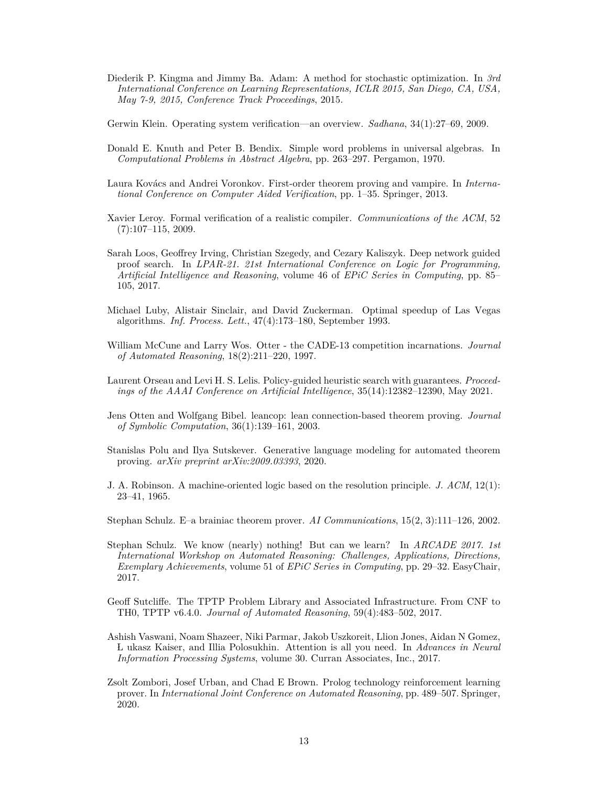- <span id="page-12-17"></span>Diederik P. Kingma and Jimmy Ba. Adam: A method for stochastic optimization. In *3rd International Conference on Learning Representations, ICLR 2015, San Diego, CA, USA, May 7-9, 2015, Conference Track Proceedings*, 2015.
- <span id="page-12-2"></span>Gerwin Klein. Operating system verification—an overview. *Sadhana*, 34(1):27–69, 2009.
- <span id="page-12-4"></span>Donald E. Knuth and Peter B. Bendix. Simple word problems in universal algebras. In *Computational Problems in Abstract Algebra*, pp. 263–297. Pergamon, 1970.
- <span id="page-12-6"></span>Laura Kovács and Andrei Voronkov. First-order theorem proving and vampire. In *International Conference on Computer Aided Verification*, pp. 1–35. Springer, 2013.
- <span id="page-12-1"></span>Xavier Leroy. Formal verification of a realistic compiler. *Communications of the ACM*, 52 (7):107–115, 2009.
- <span id="page-12-5"></span>Sarah Loos, Geoffrey Irving, Christian Szegedy, and Cezary Kaliszyk. Deep network guided proof search. In *LPAR-21. 21st International Conference on Logic for Programming, Artificial Intelligence and Reasoning*, volume 46 of *EPiC Series in Computing*, pp. 85– 105, 2017.
- <span id="page-12-15"></span>Michael Luby, Alistair Sinclair, and David Zuckerman. Optimal speedup of Las Vegas algorithms. *Inf. Process. Lett.*, 47(4):173–180, September 1993.
- <span id="page-12-13"></span>William McCune and Larry Wos. Otter - the CADE-13 competition incarnations. *Journal of Automated Reasoning*, 18(2):211–220, 1997.
- <span id="page-12-14"></span>Laurent Orseau and Levi H. S. Lelis. Policy-guided heuristic search with guarantees. *Proceedings of the AAAI Conference on Artificial Intelligence*, 35(14):12382–12390, May 2021.
- <span id="page-12-9"></span>Jens Otten and Wolfgang Bibel. leancop: lean connection-based theorem proving. *Journal of Symbolic Computation*, 36(1):139–161, 2003.
- <span id="page-12-7"></span>Stanislas Polu and Ilya Sutskever. Generative language modeling for automated theorem proving. *arXiv preprint arXiv:2009.03393*, 2020.
- <span id="page-12-3"></span>J. A. Robinson. A machine-oriented logic based on the resolution principle. *J. ACM*, 12(1): 23–41, 1965.
- <span id="page-12-11"></span>Stephan Schulz. E–a brainiac theorem prover. *AI Communications*, 15(2, 3):111–126, 2002.
- <span id="page-12-0"></span>Stephan Schulz. We know (nearly) nothing! But can we learn? In *ARCADE 2017. 1st International Workshop on Automated Reasoning: Challenges, Applications, Directions, Exemplary Achievements*, volume 51 of *EPiC Series in Computing*, pp. 29–32. EasyChair, 2017.
- <span id="page-12-10"></span>Geoff Sutcliffe. The TPTP Problem Library and Associated Infrastructure. From CNF to TH0, TPTP v6.4.0. *Journal of Automated Reasoning*, 59(4):483–502, 2017.
- <span id="page-12-16"></span>Ashish Vaswani, Noam Shazeer, Niki Parmar, Jakob Uszkoreit, Llion Jones, Aidan N Gomez, L ukasz Kaiser, and Illia Polosukhin. Attention is all you need. In *Advances in Neural Information Processing Systems*, volume 30. Curran Associates, Inc., 2017.
- <span id="page-12-12"></span><span id="page-12-8"></span>Zsolt Zombori, Josef Urban, and Chad E Brown. Prolog technology reinforcement learning prover. In *International Joint Conference on Automated Reasoning*, pp. 489–507. Springer, 2020.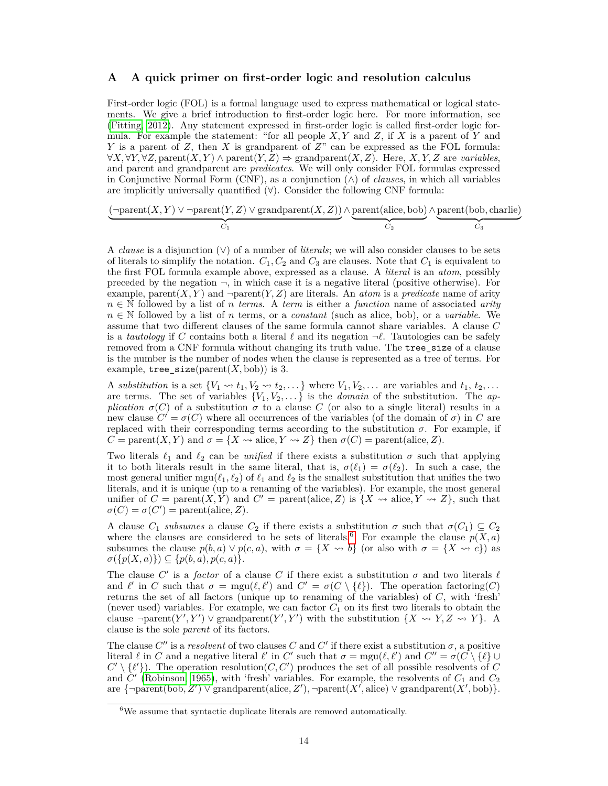### **A A quick primer on first-order logic and resolution calculus**

First-order logic (FOL) is a formal language used to express mathematical or logical statements. We give a brief introduction to first-order logic here. For more information, see [\(Fitting, 2012\)](#page-11-14). Any statement expressed in first-order logic is called first-order logic formula. For example the statement: "for all people *X, Y* and *Z*, if *X* is a parent of *Y* and *Y* is a parent of *Z*, then *X* is grandparent of *Z*" can be expressed as the FOL formula: ∀*X,* ∀*Y,* ∀*Z,* parent(*X, Y* ) ∧ parent(*Y, Z*) ⇒ grandparent(*X, Z*). Here, *X, Y, Z* are *variables*, and parent and grandparent are *predicates*. We will only consider FOL formulas expressed in Conjunctive Normal Form (CNF), as a conjunction  $(\wedge)$  of *clauses*, in which all variables are implicitly universally quantified  $(\forall)$ . Consider the following CNF formula:

$$
\underbrace{(\neg \text{parent}(X, Y) \vee \neg \text{parent}(Y, Z) \vee \text{grandparent}(X, Z))}_{C_1} \wedge \underbrace{\text{parent}(\text{alice}, \text{bob})}_{C_2} \wedge \underbrace{\text{parent}(\text{bob}, \text{charlie})}_{C_3}
$$

A *clause* is a disjunction (∨) of a number of *literals*; we will also consider clauses to be sets of literals to simplify the notation.  $C_1, C_2$  and  $C_3$  are clauses. Note that  $C_1$  is equivalent to the first FOL formula example above, expressed as a clause. A *literal* is an *atom*, possibly preceded by the negation  $\neg$ , in which case it is a negative literal (positive otherwise). For example, parent $(X, Y)$  and  $\neg$ parent $(Y, Z)$  are literals. An *atom* is a *predicate* name of arity *n* ∈ N followed by a list of *n terms*. A *term* is either a *function* name of associated *arity n* ∈ N followed by a list of *n* terms, or a *constant* (such as alice, bob), or a *variable*. We assume that two different clauses of the same formula cannot share variables. A clause *C* is a *tautology* if C contains both a literal  $\ell$  and its negation  $\neg \ell$ . Tautologies can be safely removed from a CNF formula without changing its truth value. The tree\_size of a clause is the number is the number of nodes when the clause is represented as a tree of terms. For example,  $tree\_size(parent(X, bob))$  is 3.

A *substitution* is a set  $\{V_1 \rightsquigarrow t_1, V_2 \rightsquigarrow t_2, \dots\}$  where  $V_1, V_2, \dots$  are variables and  $t_1, t_2, \dots$ are terms. The set of variables  $\{V_1, V_2, \ldots\}$  is the *domain* of the substitution. The *application*  $\sigma(C)$  of a substitution  $\sigma$  to a clause C (or also to a single literal) results in a new clause  $C' = \sigma(C)$  where all occurrences of the variables (of the domain of  $\sigma$ ) in *C* are replaced with their corresponding terms according to the substitution  $\sigma$ . For example, if *C* = parent $(X, Y)$  and  $\sigma = \{X \leadsto \text{alice}, Y \leadsto Z\}$  then  $\sigma(C)$  = parent(alice, *Z*).

Two literals  $\ell_1$  and  $\ell_2$  can be *unified* if there exists a substitution  $\sigma$  such that applying it to both literals result in the same literal, that is,  $\sigma(\ell_1) = \sigma(\ell_2)$ . In such a case, the most general unifier mgu $(\ell_1, \ell_2)$  of  $\ell_1$  and  $\ell_2$  is the smallest substitution that unifies the two literals, and it is unique (up to a renaming of the variables). For example, the most general unifier of  $C = \text{parent}(X, Y)$  and  $C' = \text{parent}(\text{alice}, Z)$  is  $\{X \leadsto \text{alice}, Y \leadsto Z\}$ , such that  $\sigma(C) = \sigma(C') = \text{parent}(\text{alice}, Z).$ 

A clause  $C_1$  *subsumes* a clause  $C_2$  if there exists a substitution  $\sigma$  such that  $\sigma(C_1) \subseteq C_2$ where the clauses are considered to be sets of literals.<sup>[6](#page-13-0)</sup> For example the clause  $p(X, a)$ subsumes the clause  $p(b, a) \vee p(c, a)$ , with  $\sigma = \{X \leadsto b\}$  (or also with  $\sigma = \{X \leadsto c\}$ ) as  $\sigma({p(X, a)} \subseteq {p(b, a), p(c, a)}.$ 

The clause  $C'$  is a *factor* of a clause  $C$  if there exist a substitution  $\sigma$  and two literals  $\ell$ and  $\ell'$  in *C* such that  $\sigma = \text{mgu}(\ell, \ell')$  and  $C' = \sigma(C \setminus {\ell})$ . The operation factoring(*C*) returns the set of all factors (unique up to renaming of the variables) of *C*, with 'fresh' (never used) variables. For example, we can factor  $C_1$  on its first two literals to obtain the clause  $\neg$ parent $(Y', Y')$   $\vee$  grandparent $(Y', Y')$  with the substitution  $\{X \leadsto Y, Z \leadsto Y\}$ . A clause is the sole *parent* of its factors.

The clause  $C''$  is a *resolvent* of two clauses  $C$  and  $C'$  if there exist a substitution  $\sigma$ , a positive literal  $\ell$  in *C* and a negative literal  $\ell'$  in *C'* such that  $\sigma = \text{mgu}(\ell, \ell')$  and  $C'' = \sigma(C \setminus {\ell} \cup {\ell'}$  $C' \setminus \{\ell'\}$ . The operation resolution(*C, C'*) produces the set of all possible resolvents of *C* and  $\hat{C}'$  [\(Robinson, 1965\)](#page-12-3), with 'fresh' variables. For example, the resolvents of  $C_1$  and  $C_2$  $\text{area } \{\neg \text{parent}(\text{bob}, Z') \lor \text{grandparent}(\text{alice}, Z'), \neg \text{parent}(X', \text{alice}) \lor \text{grandparent}(X', \text{bob})\}.$ 

<span id="page-13-0"></span> $^6\mathrm{We}$  assume that syntactic duplicate literals are removed automatically.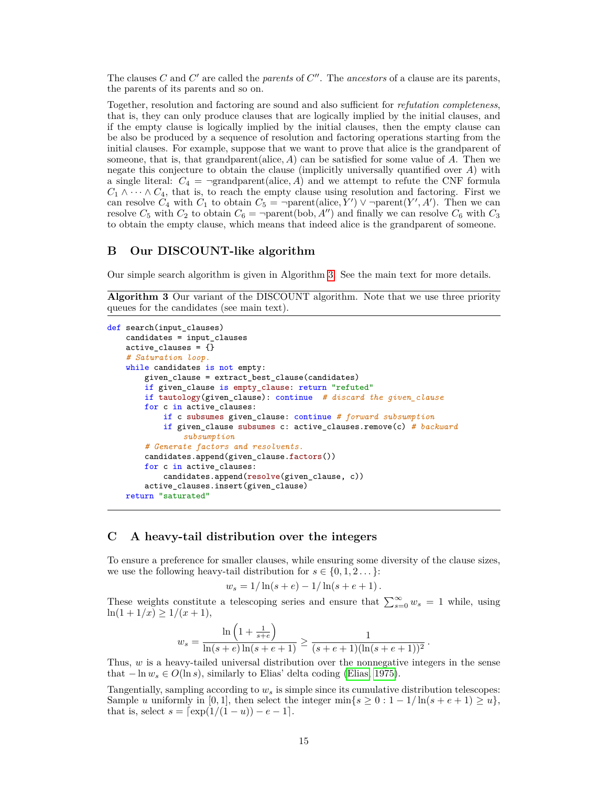The clauses  $C$  and  $C'$  are called the *parents* of  $C''$ . The *ancestors* of a clause are its parents, the parents of its parents and so on.

Together, resolution and factoring are sound and also sufficient for *refutation completeness*, that is, they can only produce clauses that are logically implied by the initial clauses, and if the empty clause is logically implied by the initial clauses, then the empty clause can be also be produced by a sequence of resolution and factoring operations starting from the initial clauses. For example, suppose that we want to prove that alice is the grandparent of someone, that is, that grandparent(alice,  $A$ ) can be satisfied for some value of  $A$ . Then we negate this conjecture to obtain the clause (implicitly universally quantified over *A*) with a single literal:  $C_4$  =  $\neg$ grandparent(alice, A) and we attempt to refute the CNF formula  $C_1 \wedge \cdots \wedge C_4$ , that is, to reach the empty clause using resolution and factoring. First we can resolve  $C_4$  with  $C_1$  to obtain  $C_5 = \text{–parent}(\text{alice}, Y') \vee \text{–parent}(Y', A')$ . Then we can resolve  $C_5$  with  $C_2$  to obtain  $C_6 = \text{-parent}(\text{bob}, A'')$  and finally we can resolve  $C_6$  with  $C_3$ to obtain the empty clause, which means that indeed alice is the grandparent of someone.

## <span id="page-14-1"></span>**B Our DISCOUNT-like algorithm**

Our simple search algorithm is given in Algorithm [3.](#page-14-0) See the main text for more details.

<span id="page-14-0"></span>**Algorithm 3** Our variant of the DISCOUNT algorithm. Note that we use three priority queues for the candidates (see main text).

```
def search(input_clauses)
   candidates = input_clauses
   active_clauses = {}
   # Saturation loop.
   while candidates is not empty:
       given_clause = extract_best_clause(candidates)
        if given_clause is empty_clause: return "refuted"
       if tautology(given_clause): continue # discard the given_clause
       for c in active_clauses:
            if c subsumes given_clause: continue # forward subsumption
            if given_clause subsumes c: active_clauses.remove(c) # backward
                subsumption
        # Generate factors and resolvents.
        candidates.append(given_clause.factors())
        for c in active_clauses:
            candidates.append(resolve(given_clause, c))
        active_clauses.insert(given_clause)
   return "saturated"
```
## <span id="page-14-2"></span>**C A heavy-tail distribution over the integers**

To ensure a preference for smaller clauses, while ensuring some diversity of the clause sizes, we use the following heavy-tail distribution for  $s \in \{0, 1, 2, \ldots\}$ :

$$
s = 1/\ln(s + e) - 1/\ln(s + e + 1)
$$

These weights constitute a telescoping series and ensure that  $\sum_{s=0}^{\infty} w_s = 1$  while, using  $\ln(1 + 1/x) \geq 1/(x + 1),$ 

$$
w_s = \frac{\ln\left(1+\frac{1}{s+e}\right)}{\ln(s+e)\ln(s+e+1)} \ge \frac{1}{(s+e+1)(\ln(s+e+1))^2}.
$$

Thus, *w* is a heavy-tailed universal distribution over the nonnegative integers in the sense that  $-\ln w_s \in O(\ln s)$ , similarly to Elias' delta coding [\(Elias, 1975\)](#page-11-15).

<span id="page-14-3"></span>Tangentially, sampling according to *w<sup>s</sup>* is simple since its cumulative distribution telescopes: Sample *u* uniformly in [0, 1], then select the integer min $\{s \geq 0 : 1 - 1/\ln(s + e + 1) \geq u\}$ , that is, select  $s = \left[\exp(1/(1 - u)) - e - 1\right]$ .